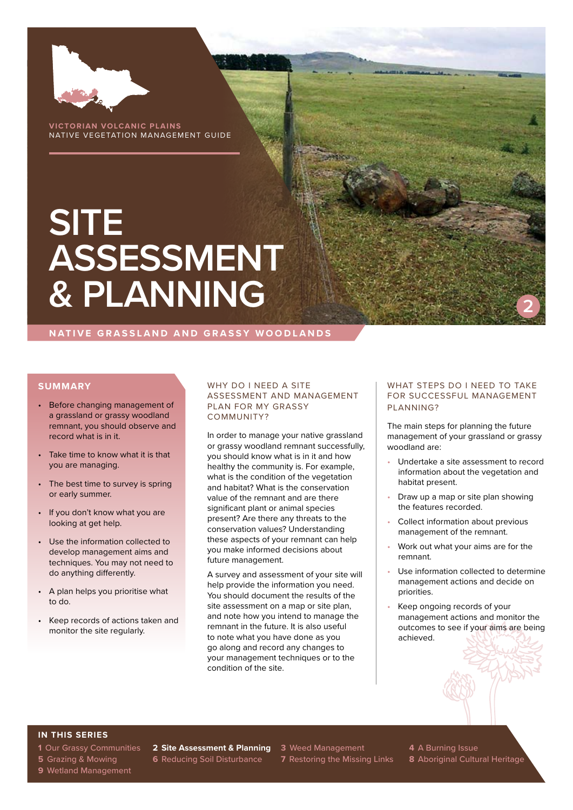

**VICTORIAN VOLCANIC PLAINS** NATIVE VEGETATION MANAGEMENT GUIDE

# **SITE ASSESSMENT & PLANNING**

**NATIVE GRASSLAND AND GRASSY WOODLANDS**

#### **SUMMARY**

- Before changing management of a grassland or grassy woodland remnant, you should observe and record what is in it.
- Take time to know what it is that you are managing.
- The best time to survey is spring or early summer.
- If you don't know what you are looking at get help.
- Use the information collected to develop management aims and techniques. You may not need to do anything differently.
- A plan helps you prioritise what to do.
- Keep records of actions taken and monitor the site regularly.

#### WHY DO I NEED A SITE ASSESSMENT AND MANAGEMENT PLAN FOR MY GRASSY COMMUNITY?

In order to manage your native grassland or grassy woodland remnant successfully, you should know what is in it and how healthy the community is. For example, what is the condition of the vegetation and habitat? What is the conservation value of the remnant and are there significant plant or animal species present? Are there any threats to the conservation values? Understanding these aspects of your remnant can help you make informed decisions about future management.

A survey and assessment of your site will help provide the information you need. You should document the results of the site assessment on a map or site plan, and note how you intend to manage the remnant in the future. It is also useful to note what you have done as you go along and record any changes to your management techniques or to the condition of the site.

#### WHAT STEPS DO I NEED TO TAKE FOR SUCCESSFUL MANAGEMENT PLANNING?

**2**

The main steps for planning the future management of your grassland or grassy woodland are:

- Undertake a site assessment to record information about the vegetation and habitat present.
- Draw up a map or site plan showing the features recorded.
- Collect information about previous management of the remnant.
- Work out what your aims are for the remnant.
- Use information collected to determine management actions and decide on priorities.
- Keep ongoing records of your management actions and monitor the outcomes to see if your aims are being achieved.

# **IN THIS SERIES**

**9** Wetland Management

**1** Our Grassy Communities **2 Site Assessment & Planning 3** Weed Management **4** A Burning Issue

**5** Grazing & Mowing **6** Reducing Soil Disturbance **7** Restoring the Missing Links **8** Aboriginal Cultural Heritage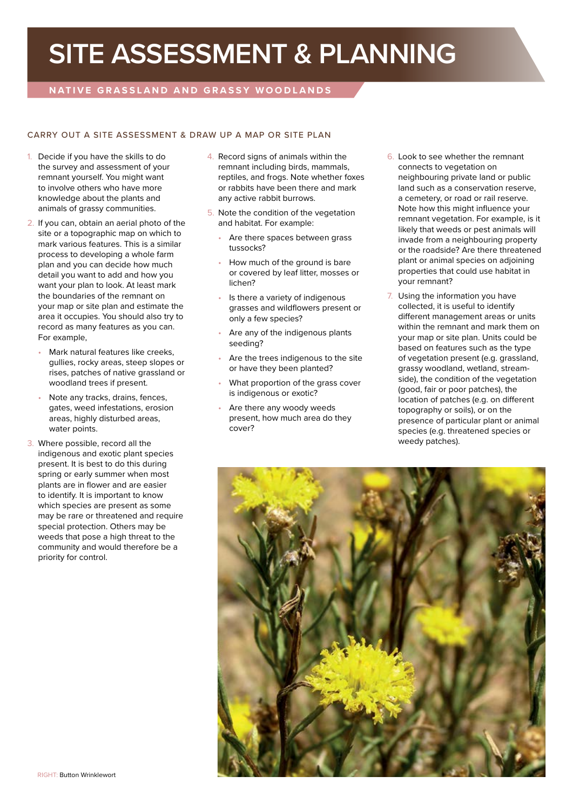# **SITE ASSESSMENT & PLANNING**

# **NATIVE GRASSLAND AND GRASSY WOODLANDS**

## CARRY OUT A SITE ASSESSMENT & DRAW UP A MAP OR SITE PLAN

- 1. Decide if you have the skills to do the survey and assessment of your remnant yourself. You might want to involve others who have more knowledge about the plants and animals of grassy communities.
- 2. If you can, obtain an aerial photo of the site or a topographic map on which to mark various features. This is a similar process to developing a whole farm plan and you can decide how much detail you want to add and how you want your plan to look. At least mark the boundaries of the remnant on your map or site plan and estimate the area it occupies. You should also try to record as many features as you can. For example,
	- Mark natural features like creeks, gullies, rocky areas, steep slopes or rises, patches of native grassland or woodland trees if present.
	- Note any tracks, drains, fences, gates, weed infestations, erosion areas, highly disturbed areas, water points.
- 3. Where possible, record all the indigenous and exotic plant species present. It is best to do this during spring or early summer when most plants are in flower and are easier to identify. It is important to know which species are present as some may be rare or threatened and require special protection. Others may be weeds that pose a high threat to the community and would therefore be a priority for control.
- 4. Record signs of animals within the remnant including birds, mammals, reptiles, and frogs. Note whether foxes or rabbits have been there and mark any active rabbit burrows.
- 5. Note the condition of the vegetation and habitat. For example:
	- Are there spaces between grass tussocks?
	- How much of the ground is bare or covered by leaf litter, mosses or lichen?
	- Is there a variety of indigenous grasses and wildflowers present or only a few species?
	- Are any of the indigenous plants seeding?
	- Are the trees indigenous to the site or have they been planted?
	- What proportion of the grass cover is indigenous or exotic?
	- Are there any woody weeds present, how much area do they cover?
- 6. Look to see whether the remnant connects to vegetation on neighbouring private land or public land such as a conservation reserve, a cemetery, or road or rail reserve. Note how this might influence your remnant vegetation. For example, is it likely that weeds or pest animals will invade from a neighbouring property or the roadside? Are there threatened plant or animal species on adjoining properties that could use habitat in your remnant?
- 7. Using the information you have collected, it is useful to identify different management areas or units within the remnant and mark them on your map or site plan. Units could be based on features such as the type of vegetation present (e.g. grassland, grassy woodland, wetland, streamside), the condition of the vegetation (good, fair or poor patches), the location of patches (e.g. on different topography or soils), or on the presence of particular plant or animal species (e.g. threatened species or weedy patches).

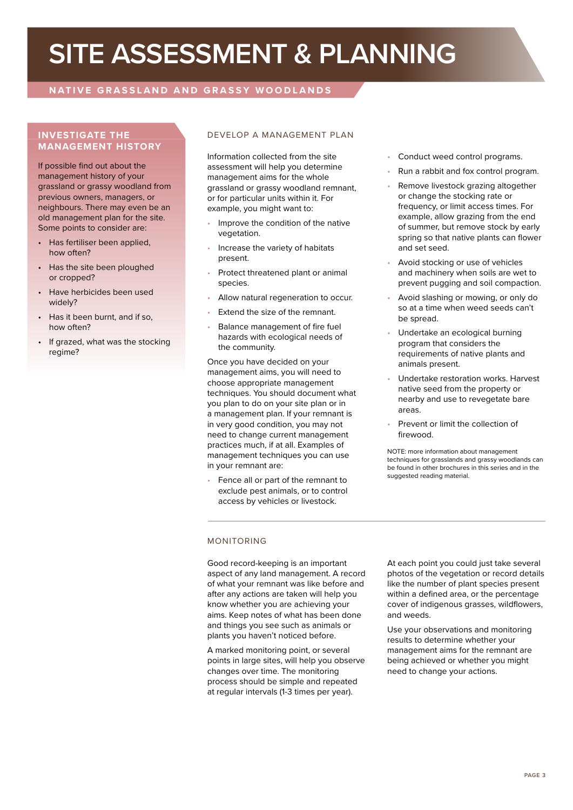# **SITE ASSESSMENT & PLANNING**

# **NATIVE GRASSLAND AND GRASSY WOODLANDS**

# **INVESTIGATE THE MANAGEMENT HISTORY**

If possible find out about the management history of your grassland or grassy woodland from previous owners, managers, or neighbours. There may even be an old management plan for the site. Some points to consider are:

- Has fertiliser been applied, how often?
- Has the site been ploughed or cropped?
- Have herbicides been used widely?
- Has it been burnt, and if so, how often?
- If grazed, what was the stocking regime?

# DEVELOP A MANAGEMENT PLAN

Information collected from the site assessment will help you determine management aims for the whole grassland or grassy woodland remnant, or for particular units within it. For example, you might want to:

- Improve the condition of the native vegetation.
- Increase the variety of habitats present.
- Protect threatened plant or animal species.
- Allow natural regeneration to occur.
- Extend the size of the remnant.
- Balance management of fire fuel hazards with ecological needs of the community.

Once you have decided on your management aims, you will need to choose appropriate management techniques. You should document what you plan to do on your site plan or in a management plan. If your remnant is in very good condition, you may not need to change current management practices much, if at all. Examples of management techniques you can use in your remnant are:

• Fence all or part of the remnant to exclude pest animals, or to control access by vehicles or livestock.

- Conduct weed control programs.
- Run a rabbit and fox control program.
- Remove livestock grazing altogether or change the stocking rate or frequency, or limit access times. For example, allow grazing from the end of summer, but remove stock by early spring so that native plants can flower and set seed.
- Avoid stocking or use of vehicles and machinery when soils are wet to prevent pugging and soil compaction.
- Avoid slashing or mowing, or only do so at a time when weed seeds can't be spread.
- Undertake an ecological burning program that considers the requirements of native plants and animals present.
- Undertake restoration works. Harvest native seed from the property or nearby and use to revegetate bare areas.
- Prevent or limit the collection of firewood.

NOTE: more information about management techniques for grasslands and grassy woodlands can be found in other brochures in this series and in the suggested reading material.

## MONITORING

Good record-keeping is an important aspect of any land management. A record of what your remnant was like before and after any actions are taken will help you know whether you are achieving your aims. Keep notes of what has been done and things you see such as animals or plants you haven't noticed before.

A marked monitoring point, or several points in large sites, will help you observe changes over time. The monitoring process should be simple and repeated at regular intervals (1-3 times per year).

At each point you could just take several photos of the vegetation or record details like the number of plant species present within a defined area, or the percentage cover of indigenous grasses, wildflowers, and weeds.

Use your observations and monitoring results to determine whether your management aims for the remnant are being achieved or whether you might need to change your actions.